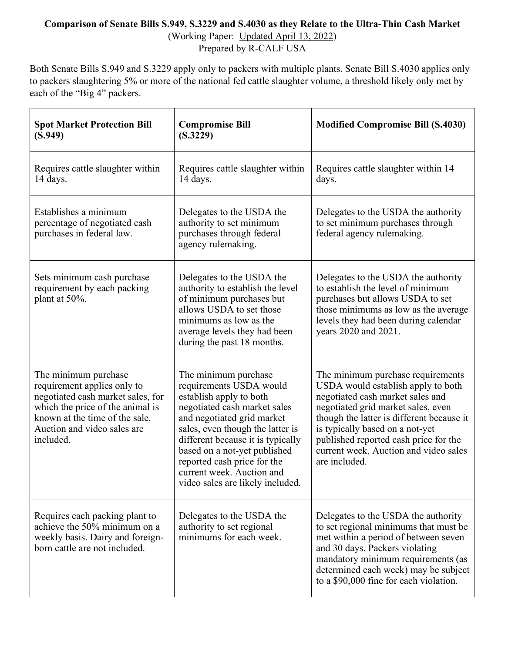## **Comparison of Senate Bills S.949, S.3229 and S.4030 as they Relate to the Ultra-Thin Cash Market**

(Working Paper: Updated April 13, 2022)

Prepared by R-CALF USA

Both Senate Bills S.949 and S.3229 apply only to packers with multiple plants. Senate Bill S.4030 applies only to packers slaughtering 5% or more of the national fed cattle slaughter volume, a threshold likely only met by each of the "Big 4" packers.

| <b>Spot Market Protection Bill</b><br>(S.949)                                                                                                                                                              | <b>Compromise Bill</b><br>(S.3229)                                                                                                                                                                                                                                                                                                                | <b>Modified Compromise Bill (S.4030)</b>                                                                                                                                                                                                                                                                                             |
|------------------------------------------------------------------------------------------------------------------------------------------------------------------------------------------------------------|---------------------------------------------------------------------------------------------------------------------------------------------------------------------------------------------------------------------------------------------------------------------------------------------------------------------------------------------------|--------------------------------------------------------------------------------------------------------------------------------------------------------------------------------------------------------------------------------------------------------------------------------------------------------------------------------------|
| Requires cattle slaughter within<br>14 days.                                                                                                                                                               | Requires cattle slaughter within<br>14 days.                                                                                                                                                                                                                                                                                                      | Requires cattle slaughter within 14<br>days.                                                                                                                                                                                                                                                                                         |
| Establishes a minimum<br>percentage of negotiated cash<br>purchases in federal law.                                                                                                                        | Delegates to the USDA the<br>authority to set minimum<br>purchases through federal<br>agency rulemaking.                                                                                                                                                                                                                                          | Delegates to the USDA the authority<br>to set minimum purchases through<br>federal agency rulemaking.                                                                                                                                                                                                                                |
| Sets minimum cash purchase<br>requirement by each packing<br>plant at 50%.                                                                                                                                 | Delegates to the USDA the<br>authority to establish the level<br>of minimum purchases but<br>allows USDA to set those<br>minimums as low as the<br>average levels they had been<br>during the past 18 months.                                                                                                                                     | Delegates to the USDA the authority<br>to establish the level of minimum<br>purchases but allows USDA to set<br>those minimums as low as the average<br>levels they had been during calendar<br>years 2020 and 2021.                                                                                                                 |
| The minimum purchase<br>requirement applies only to<br>negotiated cash market sales, for<br>which the price of the animal is<br>known at the time of the sale.<br>Auction and video sales are<br>included. | The minimum purchase<br>requirements USDA would<br>establish apply to both<br>negotiated cash market sales<br>and negotiated grid market<br>sales, even though the latter is<br>different because it is typically<br>based on a not-yet published<br>reported cash price for the<br>current week. Auction and<br>video sales are likely included. | The minimum purchase requirements<br>USDA would establish apply to both<br>negotiated cash market sales and<br>negotiated grid market sales, even<br>though the latter is different because it<br>is typically based on a not-yet<br>published reported cash price for the<br>current week. Auction and video sales<br>are included. |
| Requires each packing plant to<br>achieve the 50% minimum on a<br>weekly basis. Dairy and foreign-<br>born cattle are not included.                                                                        | Delegates to the USDA the<br>authority to set regional<br>minimums for each week.                                                                                                                                                                                                                                                                 | Delegates to the USDA the authority<br>to set regional minimums that must be<br>met within a period of between seven<br>and 30 days. Packers violating<br>mandatory minimum requirements (as<br>determined each week) may be subject<br>to a \$90,000 fine for each violation.                                                       |